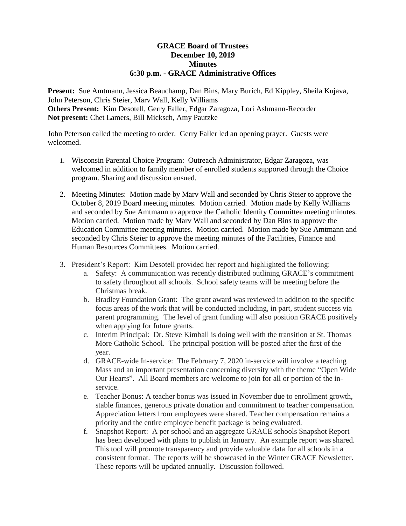## **GRACE Board of Trustees December 10, 2019 Minutes 6:30 p.m. - GRACE Administrative Offices**

**Present:** Sue Amtmann, Jessica Beauchamp, Dan Bins, Mary Burich, Ed Kippley, Sheila Kujava, John Peterson, Chris Steier, Marv Wall, Kelly Williams **Others Present:** Kim Desotell, Gerry Faller, Edgar Zaragoza, Lori Ashmann-Recorder **Not present:** Chet Lamers, Bill Micksch, Amy Pautzke

John Peterson called the meeting to order. Gerry Faller led an opening prayer. Guests were welcomed.

- 1. Wisconsin Parental Choice Program: Outreach Administrator, Edgar Zaragoza, was welcomed in addition to family member of enrolled students supported through the Choice program. Sharing and discussion ensued.
- 2. Meeting Minutes: Motion made by Marv Wall and seconded by Chris Steier to approve the October 8, 2019 Board meeting minutes. Motion carried. Motion made by Kelly Williams and seconded by Sue Amtmann to approve the Catholic Identity Committee meeting minutes. Motion carried. Motion made by Marv Wall and seconded by Dan Bins to approve the Education Committee meeting minutes. Motion carried. Motion made by Sue Amtmann and seconded by Chris Steier to approve the meeting minutes of the Facilities, Finance and Human Resources Committees. Motion carried.
- 3. President's Report: Kim Desotell provided her report and highlighted the following:
	- a. Safety: A communication was recently distributed outlining GRACE's commitment to safety throughout all schools. School safety teams will be meeting before the Christmas break.
	- b. Bradley Foundation Grant: The grant award was reviewed in addition to the specific focus areas of the work that will be conducted including, in part, student success via parent programming. The level of grant funding will also position GRACE positively when applying for future grants.
	- c. Interim Principal: Dr. Steve Kimball is doing well with the transition at St. Thomas More Catholic School. The principal position will be posted after the first of the year.
	- d. GRACE-wide In-service: The February 7, 2020 in-service will involve a teaching Mass and an important presentation concerning diversity with the theme "Open Wide Our Hearts". All Board members are welcome to join for all or portion of the inservice.
	- e. Teacher Bonus: A teacher bonus was issued in November due to enrollment growth, stable finances, generous private donation and commitment to teacher compensation. Appreciation letters from employees were shared. Teacher compensation remains a priority and the entire employee benefit package is being evaluated.
	- f. Snapshot Report: A per school and an aggregate GRACE schools Snapshot Report has been developed with plans to publish in January. An example report was shared. This tool will promote transparency and provide valuable data for all schools in a consistent format. The reports will be showcased in the Winter GRACE Newsletter. These reports will be updated annually. Discussion followed.